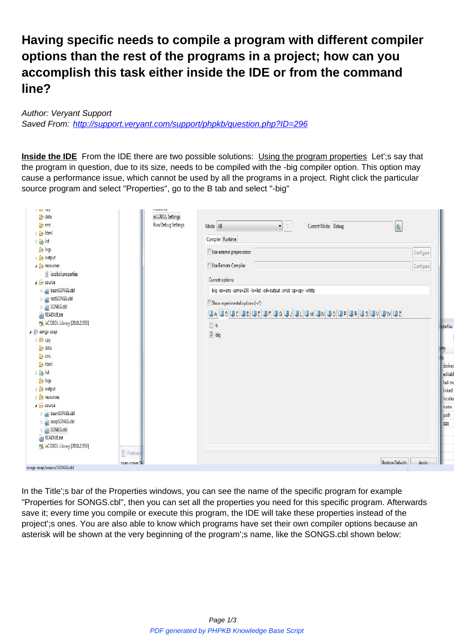## **Having specific needs to compile a program with different compiler options than the rest of the programs in a project; how can you accomplish this task either inside the IDE or from the command line?**

Author: Veryant Support Saved From: http://support.veryant.com/support/phpkb/question.php?ID=296

**Inside the IDE** From the IDE there are two possible solutions: Using the program properties Let';s say that the program i[n question, due to its size, needs to be compiled with the -big co](http://support.veryant.com/support/phpkb/question.php?ID=296)mpiler option. This option may cause a performance issue, which cannot be used by all the programs in a project. Right click the particular source program and select "Properties", go to the B tab and select "-big"

| $V = V$                                  | <b>DESCRIPTION</b> |                                                                                     |                                                                                                                         |
|------------------------------------------|--------------------|-------------------------------------------------------------------------------------|-------------------------------------------------------------------------------------------------------------------------|
| <b>B</b> data                            | isCOBOL Settings   |                                                                                     |                                                                                                                         |
| <b>B</b> errs                            | Run/Debug Settings | $\bullet$ $\mathrel{\mathop:}=$<br>$\mathbf{B}$<br>Mode: All<br>Current Mode: Debug |                                                                                                                         |
| $\triangleright$ $\triangleright$ html   |                    |                                                                                     |                                                                                                                         |
| b d list                                 |                    | Compiler Runtime                                                                    |                                                                                                                         |
| <b>P</b> logs                            |                    | Use external preprocessor                                                           |                                                                                                                         |
| output                                   |                    |                                                                                     | Configure                                                                                                               |
| $\overrightarrow{A}$ resources           |                    | Use Remote Compiler                                                                 | Configure                                                                                                               |
| iscobol properties                       |                    |                                                                                     |                                                                                                                         |
| $\triangle$ source                       |                    | Current options:                                                                    |                                                                                                                         |
| > elal beanSONGS.cbl                     |                    | -big -eo=errs -esme=100 -lo=list -od=output -smat -sp=cpy -whttp                    |                                                                                                                         |
| > all restSONGS.cbl                      |                    |                                                                                     |                                                                                                                         |
| <b>b</b> da SONGS.cbl                    |                    | $\Box$ Show experimental options $(x^*)$                                            |                                                                                                                         |
| dal README.txt                           |                    | <b>WAWBWcWDWEWFWGWJWLWMWNWOWPWRW9WVW</b> Z                                          |                                                                                                                         |
| SCOBOL Library [2018.2.950]              |                    | $\Box b$                                                                            | operties &                                                                                                              |
| 4 a songs-soap                           |                    |                                                                                     |                                                                                                                         |
| $\triangleright \Box$ cpy                |                    | $\overline{V}$ -big                                                                 | $\begin{array}{ c } \hline \overline{11} & \overline{11} \\ \hline \overline{11} & \overline{11} \\ \hline \end{array}$ |
| <b>B</b> data                            |                    |                                                                                     | Value                                                                                                                   |
| errs                                     |                    |                                                                                     |                                                                                                                         |
| <b>B</b> html                            |                    |                                                                                     | derived false                                                                                                           |
| b list                                   |                    |                                                                                     | editabl true                                                                                                            |
| bogs                                     |                    |                                                                                     | last mc Septen                                                                                                          |
| output                                   |                    |                                                                                     | linked false                                                                                                            |
| $\triangleright$ $\rightarrow$ resources |                    |                                                                                     | locatio C:\Use                                                                                                          |
| $\overline{a}$ Source                    |                    |                                                                                     | name SONGS                                                                                                              |
| B all beanSONGS.cbl                      |                    |                                                                                     | path /songs                                                                                                             |
| ▷ all soapSONGS.cbl                      |                    |                                                                                     | 23,259<br>size                                                                                                          |
| <b>D</b> and SONGS.cbl                   |                    |                                                                                     |                                                                                                                         |
| ala README.txt                           |                    |                                                                                     |                                                                                                                         |
| <b>M</b> isCOBOL Library [2018.2.950]    |                    |                                                                                     |                                                                                                                         |
|                                          | Problems           |                                                                                     |                                                                                                                         |
|                                          | snan-snnns fill    | Restore Defaults                                                                    | Annly                                                                                                                   |
| songs-soap/source/SONGS.cbl              |                    |                                                                                     |                                                                                                                         |

In the Title';s bar of the Properties windows, you can see the name of the specific program for example "Properties for SONGS.cbl", then you can set all the properties you need for this specific program. Afterwards save it; every time you compile or execute this program, the IDE will take these properties instead of the project';s ones. You are also able to know which programs have set their own compiler options because an asterisk will be shown at the very beginning of the program';s name, like the SONGS.cbl shown below: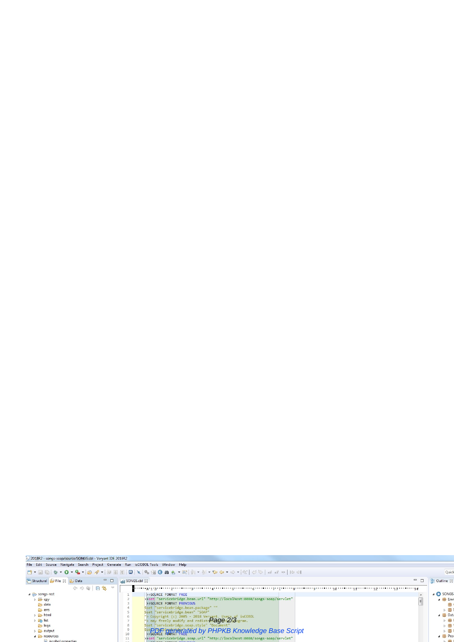| is 2018R2 - songs-soap/source/SONGS.cbl - Veryant IDE 2018R2                   |                                                                                                                  |     | $\Box$                                |
|--------------------------------------------------------------------------------|------------------------------------------------------------------------------------------------------------------|-----|---------------------------------------|
| File Edit Source Navigate Search Project Generate Run isCOBOLTools Window Help |                                                                                                                  |     |                                       |
|                                                                                |                                                                                                                  |     | Quick Access                          |
| Structural File & Data<br>$-$                                                  | <b>AND SONGS.cbl</b> 23                                                                                          | $-$ | $\frac{\Pi}{\Pi}$ Outline $\boxtimes$ |
| $\Leftrightarrow \Leftrightarrow @  @  @  @  \geq 0$                           |                                                                                                                  |     |                                       |
| 4 <b>Int</b> songs-rest                                                        | >>SOURCE FORMAT FREE                                                                                             |     | 4 SONGS                               |
| <b>D</b> DE CPY                                                                | >>set "servicebridge.bean.url" "http://localhost:8080/songs-soap/servlet"                                        |     | $\overline{a}$ Environmen             |
| ata                                                                            | >>SOURCE FORMAT PREVIOUS                                                                                         |     | <b>ED</b> Configu                     |
| errs                                                                           | \$set "servicebridge.bean.package" ""                                                                            |     | Input-O                               |
| $\triangleright$ $\triangleright$ html                                         | "Sset "servicebridge.bean" "SOAP"                                                                                |     | $\overline{a}$ <b>H</b> Data Divisio  |
| ▷ <i>a</i> <sub>3</sub> list                                                   | *> Copyright (c) 2005 - 2018 Vervant. Users of isCOBOL<br>*> may freely modify and redistr <b>Page:2/3</b> gram. |     | File Sect                             |
|                                                                                | \$set "servicebridge.soap.style" "Document"                                                                      |     |                                       |
| logs                                                                           | 8<br>$\Omega$                                                                                                    |     | <b>B</b> Working                      |
| $\triangleright$ $\triangleright$ output                                       | Ssepppeigerated by PHPKB Knowledge Base Script                                                                   |     | <b>H</b> Linkage                      |
| 4 <b>B</b> resources                                                           | 10                                                                                                               |     | $\overline{AB}$ Procedure D           |
| iscobol properties                                                             | >>set "servicebridge.soap.url" "http://localhost:8080/songs-soap/servlet"<br>11                                  |     | <b>IDeclarat</b>                      |